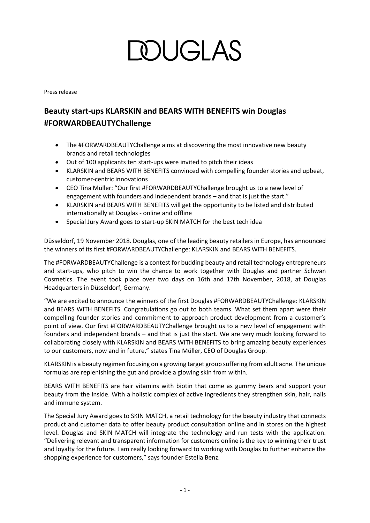# **MUGLAS**

Press release

### **Beauty start-ups KLARSKIN and BEARS WITH BENEFITS win Douglas #FORWARDBEAUTYChallenge**

- The #FORWARDBEAUTYChallenge aims at discovering the most innovative new beauty brands and retail technologies
- Out of 100 applicants ten start-ups were invited to pitch their ideas
- KLARSKIN and BEARS WITH BENEFITS convinced with compelling founder stories and upbeat, customer-centric innovations
- CEO Tina Müller: "Our first #FORWARDBEAUTYChallenge brought us to a new level of engagement with founders and independent brands – and that is just the start."
- KLARSKIN and BEARS WITH BENEFITS will get the opportunity to be listed and distributed internationally at Douglas - online and offline
- Special Jury Award goes to start-up SKIN MATCH for the best tech idea

Düsseldorf, 19 November 2018. Douglas, one of the leading beauty retailers in Europe, has announced the winners of its first #FORWARDBEAUTYChallenge: KLARSKIN and BEARS WITH BENEFITS.

The #FORWARDBEAUTYChallenge is a contest for budding beauty and retail technology entrepreneurs and start-ups, who pitch to win the chance to work together with Douglas and partner Schwan Cosmetics. The event took place over two days on 16th and 17th November, 2018, at Douglas Headquarters in Düsseldorf, Germany.

"We are excited to announce the winners of the first Douglas #FORWARDBEAUTYChallenge: KLARSKIN and BEARS WITH BENEFITS. Congratulations go out to both teams. What set them apart were their compelling founder stories and commitment to approach product development from a customer's point of view. Our first #FORWARDBEAUTYChallenge brought us to a new level of engagement with founders and independent brands – and that is just the start. We are very much looking forward to collaborating closely with KLARSKIN and BEARS WITH BENEFITS to bring amazing beauty experiences to our customers, now and in future," states Tina Müller, CEO of Douglas Group.

KLARSKIN is a beauty regimen focusing on a growing target group suffering from adult acne. The unique formulas are replenishing the gut and provide a glowing skin from within.

BEARS WITH BENEFITS are hair vitamins with biotin that come as gummy bears and support your beauty from the inside. With a holistic complex of active ingredients they strengthen skin, hair, nails and immune system.

The Special Jury Award goes to SKIN MATCH, a retail technology for the beauty industry that connects product and customer data to offer beauty product consultation online and in stores on the highest level. Douglas and SKIN MATCH will integrate the technology and run tests with the application. "Delivering relevant and transparent information for customers online is the key to winning their trust and loyalty for the future. I am really looking forward to working with Douglas to further enhance the shopping experience for customers," says founder Estella Benz.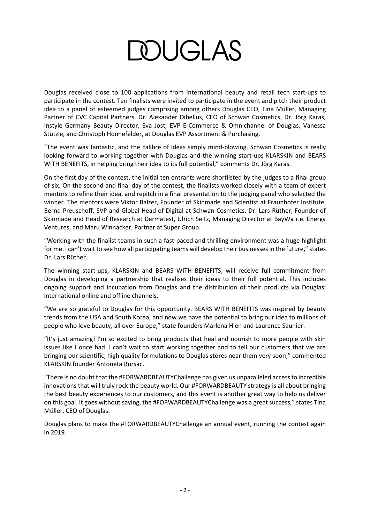## **DOUGLAS**

Douglas received close to 100 applications from international beauty and retail tech start-ups to participate in the contest. Ten finalists were invited to participate in the event and pitch their product idea to a panel of esteemed judges comprising among others Douglas CEO, Tina Müller, Managing Partner of CVC Capital Partners, Dr. Alexander Dibelius, CEO of Schwan Cosmetics, Dr. Jörg Karas, Instyle Germany Beauty Director, Eva Jost, EVP E-Commerce & Omnichannel of Douglas, Vanessa Stützle, and Christoph Honnefelder, at Douglas EVP Assortment & Purchasing.

"The event was fantastic, and the calibre of ideas simply mind-blowing. Schwan Cosmetics is really looking forward to working together with Douglas and the winning start-ups KLARSKIN and BEARS WITH BENEFITS, in helping bring their idea to its full potential," comments Dr. Jörg Karas.

On the first day of the contest, the initial ten entrants were shortlisted by the judges to a final group of six. On the second and final day of the contest, the finalists worked closely with a team of expert mentors to refine their idea, and repitch in a final presentation to the judging panel who selected the winner. The mentors were Viktor Balzer, Founder of Skinmade and Scientist at Fraunhofer Institute, Bernd Preuschoff, SVP and Global Head of Digital at Schwan Cosmetics, Dr. Lars Rüther, Founder of Skinmade and Head of Research at Dermatest, Ulrich Seitz, Managing Director at BayWa r.e. Energy Ventures, and Maru Winnacker, Partner at Super Group.

"Working with the finalist teams in such a fast-paced and thrilling environment was a huge highlight for me. I can't wait to see how all participating teams will develop their businesses in the future," states Dr. Lars Rüther.

The winning start-ups, KLARSKIN and BEARS WITH BENEFITS, will receive full commitment from Douglas in developing a partnership that realises their ideas to their full potential. This includes ongoing support and incubation from Douglas and the distribution of their products via Douglas' international online and offline channels.

"We are so grateful to Douglas for this opportunity. BEARS WITH BENEFITS was inspired by beauty trends from the USA and South Korea, and now we have the potential to bring our idea to millions of people who love beauty, all over Europe," state founders Marlena Hien and Laurence Saunier.

"It's just amazing! I'm so excited to bring products that heal and nourish to more people with skin issues like I once had. I can't wait to start working together and to tell our customers that we are bringing our scientific, high quality formulations to Douglas stores near them very soon," commented KLARSKIN founder Antoneta Bursac.

"There is no doubt that the #FORWARDBEAUTYChallenge has given us unparalleled access to incredible innovations that will truly rock the beauty world. Our #FORWARDBEAUTY strategy is all about bringing the best beauty experiences to our customers, and this event is another great way to help us deliver on this goal. It goes without saying, the #FORWARDBEAUTYChallenge was a great success," states Tina Müller, CEO of Douglas.

Douglas plans to make the #FORWARDBEAUTYChallenge an annual event, running the contest again in 2019.